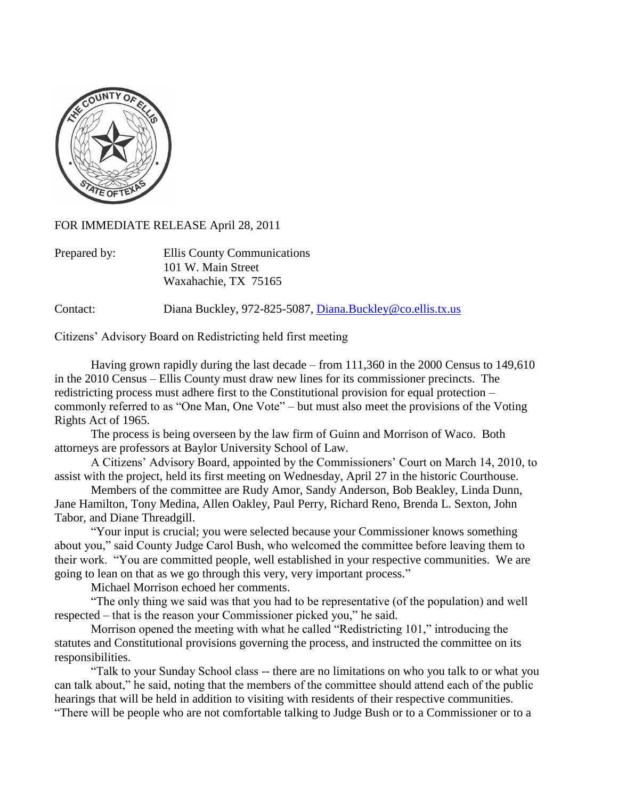

FOR IMMEDIATE RELEASE April 28, 2011

| Prepared by: | Ellis County Communications |
|--------------|-----------------------------|
|              | 101 W. Main Street          |
|              | Waxahachie, TX 75165        |

Contact: Diana Buckley, 972-825-5087, [Diana.Buckley@co.ellis.tx.us](mailto:Diana.Buckley@co.ellis.tx.us)

Citizens' Advisory Board on Redistricting held first meeting

Having grown rapidly during the last decade – from 111,360 in the 2000 Census to 149,610 in the 2010 Census – Ellis County must draw new lines for its commissioner precincts. The redistricting process must adhere first to the Constitutional provision for equal protection – commonly referred to as "One Man, One Vote" – but must also meet the provisions of the Voting Rights Act of 1965.

The process is being overseen by the law firm of Guinn and Morrison of Waco. Both attorneys are professors at Baylor University School of Law.

A Citizens' Advisory Board, appointed by the Commissioners' Court on March 14, 2010, to assist with the project, held its first meeting on Wednesday, April 27 in the historic Courthouse.

Members of the committee are Rudy Amor, Sandy Anderson, Bob Beakley, Linda Dunn, Jane Hamilton, Tony Medina, Allen Oakley, Paul Perry, Richard Reno, Brenda L. Sexton, John Tabor, and Diane Threadgill.

"Your input is crucial; you were selected because your Commissioner knows something about you," said County Judge Carol Bush, who welcomed the committee before leaving them to their work. "You are committed people, well established in your respective communities. We are going to lean on that as we go through this very, very important process."

Michael Morrison echoed her comments.

"The only thing we said was that you had to be representative (of the population) and well respected – that is the reason your Commissioner picked you," he said.

Morrison opened the meeting with what he called "Redistricting 101," introducing the statutes and Constitutional provisions governing the process, and instructed the committee on its responsibilities.

"Talk to your Sunday School class -- there are no limitations on who you talk to or what you can talk about," he said, noting that the members of the committee should attend each of the public hearings that will be held in addition to visiting with residents of their respective communities. "There will be people who are not comfortable talking to Judge Bush or to a Commissioner or to a